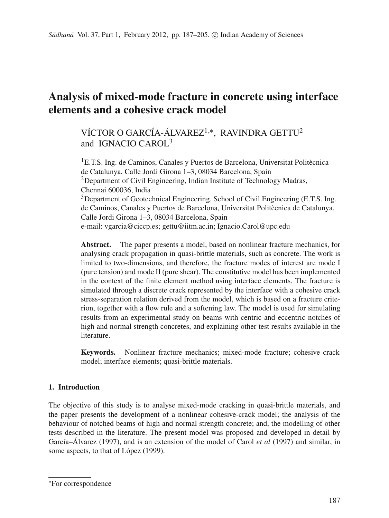# **Analysis of mixed-mode fracture in concrete using interface elements and a cohesive crack model**

VÍCTOR O GARCÍA-ÁLVAREZ<sup>1,\*</sup>, RAVINDRA GETTU<sup>2</sup> and IGNACIO CAROL<sup>3</sup>

1E.T.S. Ing. de Caminos, Canales y Puertos de Barcelona, Universitat Politècnica de Catalunya, Calle Jordi Girona 1–3, 08034 Barcelona, Spain <sup>2</sup>Department of Civil Engineering, Indian Institute of Technology Madras, Chennai 600036, India <sup>3</sup>Department of Geotechnical Engineering, School of Civil Engineering (E.T.S. Ing. de Caminos, Canales y Puertos de Barcelona, Universitat Politècnica de Catalunya, Calle Jordi Girona 1–3, 08034 Barcelona, Spain e-mail: vgarcia@ciccp.es; gettu@iitm.ac.in; Ignacio.Carol@upc.edu

**Abstract.** The paper presents a model, based on nonlinear fracture mechanics, for analysing crack propagation in quasi-brittle materials, such as concrete. The work is limited to two-dimensions, and therefore, the fracture modes of interest are mode I (pure tension) and mode II (pure shear). The constitutive model has been implemented in the context of the finite element method using interface elements. The fracture is simulated through a discrete crack represented by the interface with a cohesive crack stress-separation relation derived from the model, which is based on a fracture criterion, together with a flow rule and a softening law. The model is used for simulating results from an experimental study on beams with centric and eccentric notches of high and normal strength concretes, and explaining other test results available in the literature.

**Keywords.** Nonlinear fracture mechanics; mixed-mode fracture; cohesive crack model; interface elements; quasi-brittle materials.

# **1. Introduction**

The objective of this study is to analyse mixed-mode cracking in quasi-brittle materials, and the paper presents the development of a nonlinear cohesive-crack model; the analysis of the behaviour of notched beams of high and normal strength concrete; and, the modelling of other tests described in the literature. The present model was proposed and developed in detail by García–Álvarez (1997), and is an extension of the model of Carol *et al* (1997) and similar, in some aspects, to that of López (1999).

<sup>∗</sup>For correspondence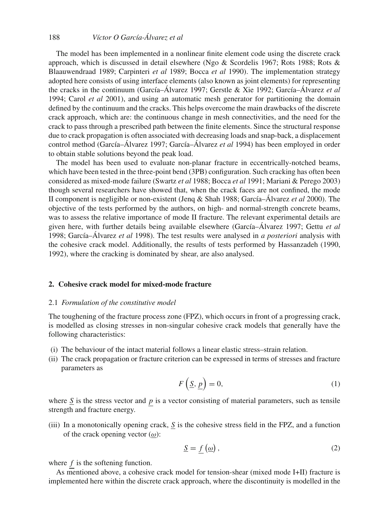# 188 *Víctor O García-Álvarez et al*

The model has been implemented in a nonlinear finite element code using the discrete crack approach, which is discussed in detail elsewhere (Ngo & Scordelis 1967; Rots 1988; Rots & Blaauwendraad 1989; Carpinteri *et al* 1989; Bocca *et al* 1990). The implementation strategy adopted here consists of using interface elements (also known as joint elements) for representing the cracks in the continuum (García–Álvarez 1997; Gerstle & Xie 1992; García–Álvarez *et al* 1994; Carol *et al* 2001), and using an automatic mesh generator for partitioning the domain defined by the continuum and the cracks. This helps overcome the main drawbacks of the discrete crack approach, which are: the continuous change in mesh connectivities, and the need for the crack to pass through a prescribed path between the finite elements. Since the structural response due to crack propagation is often associated with decreasing loads and snap-back, a displacement control method (García–Álvarez 1997; García–Álvarez *et al* 1994) has been employed in order to obtain stable solutions beyond the peak load.

The model has been used to evaluate non-planar fracture in eccentrically-notched beams, which have been tested in the three-point bend (3PB) configuration. Such cracking has often been considered as mixed-mode failure (Swartz *et al* 1988; Bocca *et al* 1991; Mariani & Perego 2003) though several researchers have showed that, when the crack faces are not confined, the mode II component is negligible or non-existent (Jenq & Shah 1988; García–Álvarez *et al* 2000). The objective of the tests performed by the authors, on high- and normal-strength concrete beams, was to assess the relative importance of mode II fracture. The relevant experimental details are given here, with further details being available elsewhere (García–Álvarez 1997; Gettu *et al* 1998; García–Álvarez *et al* 1998). The test results were analysed in *a posteriori* analysis with the cohesive crack model. Additionally, the results of tests performed by Hassanzadeh (1990, 1992), where the cracking is dominated by shear, are also analysed.

# **2. Cohesive crack model for mixed-mode fracture**

## 2.1 *Formulation of the constitutive model*

The toughening of the fracture process zone (FPZ), which occurs in front of a progressing crack, is modelled as closing stresses in non-singular cohesive crack models that generally have the following characteristics:

- (i) The behaviour of the intact material follows a linear elastic stress–strain relation.
- (ii) The crack propagation or fracture criterion can be expressed in terms of stresses and fracture parameters as

$$
F\left(\underline{S}, \underline{p}\right) = 0,\tag{1}
$$

where  $S$  is the stress vector and  $p$  is a vector consisting of material parameters, such as tensile strength and fracture energy.

(iii) In a monotonically opening crack,  $S$  is the cohesive stress field in the FPZ, and a function of the crack opening vector  $(\omega)$ :

$$
\underline{S} = f\left(\underline{\omega}\right),\tag{2}
$$

where *f* is the softening function.

As mentioned above, a cohesive crack model for tension-shear (mixed mode I+II) fracture is implemented here within the discrete crack approach, where the discontinuity is modelled in the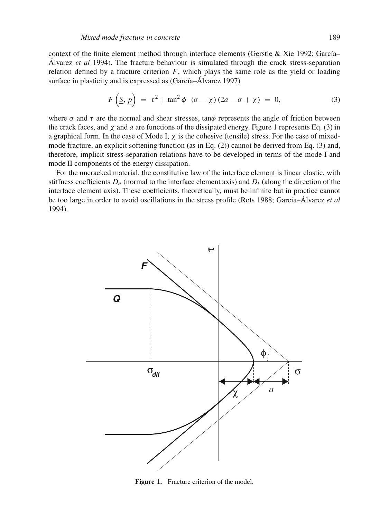context of the finite element method through interface elements (Gerstle & Xie 1992; García– Álvarez *et al* 1994). The fracture behaviour is simulated through the crack stress-separation relation defined by a fracture criterion  $F$ , which plays the same role as the yield or loading surface in plasticity and is expressed as (García–Álvarez 1997)

$$
F\left(\underline{S}, \underline{p}\right) = \tau^2 + \tan^2 \phi \quad (\sigma - \chi)(2a - \sigma + \chi) = 0,\tag{3}
$$

where  $\sigma$  and  $\tau$  are the normal and shear stresses, tan $\phi$  represents the angle of friction between the crack faces, and  $\chi$  and  $\alpha$  are functions of the dissipated energy. Figure 1 represents Eq. (3) in a graphical form. In the case of Mode I,  $\chi$  is the cohesive (tensile) stress. For the case of mixedmode fracture, an explicit softening function (as in Eq. (2)) cannot be derived from Eq. (3) and, therefore, implicit stress-separation relations have to be developed in terms of the mode I and mode II components of the energy dissipation.

For the uncracked material, the constitutive law of the interface element is linear elastic, with stiffness coefficients  $D_n$  (normal to the interface element axis) and  $D_t$  (along the direction of the interface element axis). These coefficients, theoretically, must be infinite but in practice cannot be too large in order to avoid oscillations in the stress profile (Rots 1988; García–Álvarez *et al* 1994).



Figure 1. Fracture criterion of the model.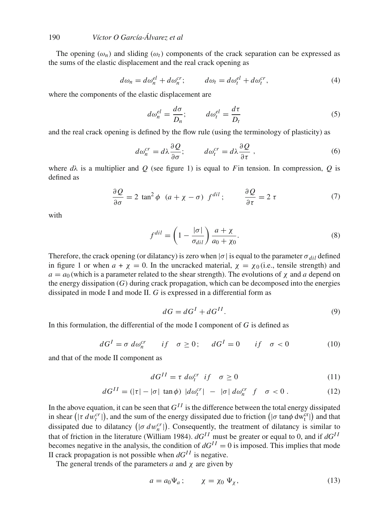# 190 *Víctor O García-Álvarez et al*

The opening  $(\omega_n)$  and sliding  $(\omega_t)$  components of the crack separation can be expressed as the sums of the elastic displacement and the real crack opening as

$$
d\omega_n = d\omega_n^{el} + d\omega_n^{cr}; \qquad d\omega_t = d\omega_t^{el} + d\omega_t^{cr}, \qquad (4)
$$

where the components of the elastic displacement are

$$
d\omega_n^{el} = \frac{d\sigma}{D_n}; \qquad d\omega_t^{el} = \frac{d\tau}{D_t}
$$
 (5)

and the real crack opening is defined by the flow rule (using the terminology of plasticity) as

$$
d\omega_n^{cr} = d\lambda \frac{\partial Q}{\partial \sigma}; \qquad d\omega_t^{cr} = d\lambda \frac{\partial Q}{\partial \tau} \,, \tag{6}
$$

where  $d\lambda$  is a multiplier and *Q* (see figure 1) is equal to *F* in tension. In compression, *Q* is defined as

$$
\frac{\partial Q}{\partial \sigma} = 2 \tan^2 \phi \quad (a + \chi - \sigma) \ f^{dil} \; ; \qquad \frac{\partial Q}{\partial \tau} = 2 \ \tau \tag{7}
$$

with

$$
f^{dil} = \left(1 - \frac{|\sigma|}{\sigma_{dil}}\right) \frac{a + \chi}{a_0 + \chi_0}.\tag{8}
$$

Therefore, the crack opening (or dilatancy) is zero when  $|\sigma|$  is equal to the parameter  $\sigma_{dil}$  defined in figure 1 or when  $a + \chi = 0$ . In the uncracked material,  $\chi = \chi_0$  (i.e., tensile strength) and  $a = a_0$  (which is a parameter related to the shear strength). The evolutions of  $\chi$  and *a* depend on the energy dissipation  $(G)$  during crack propagation, which can be decomposed into the energies dissipated in mode I and mode II. *G* is expressed in a differential form as

$$
dG = dGI + dGII.
$$
\n(9)

In this formulation, the differential of the mode I component of *G* is defined as

$$
dGI = \sigma \, d\omega_n^{cr} \qquad if \quad \sigma \ge 0; \qquad dGI = 0 \qquad if \quad \sigma < 0 \tag{10}
$$

and that of the mode II component as

$$
dG^{II} = \tau \, d\omega_t^{cr} \quad \text{if} \quad \sigma \ge 0 \tag{11}
$$

$$
dG^{II} = (|\tau| - |\sigma| \tan \phi) |d\omega_t^{cr}| - |\sigma| d\omega_n^{cr} f \sigma < 0.
$$
 (12)

In the above equation, it can be seen that  $G^{II}$  is the difference between the total energy dissipated in shear  $(|\tau d w_t^{cr}|)$ , and the sum of the energy dissipated due to friction  $(|\sigma \tan \phi \, dw_t^{cr}|)$  and that dissipated due to dilatancy  $(|\sigma dw_n^{cr}|)$ . Consequently, the treatment of dilatancy is similar to that of friction in the literature (William 1984). *dGI I* must be greater or equal to 0, and if *dGI I* becomes negative in the analysis, the condition of  $dG^{II} = 0$  is imposed. This implies that mode II crack propagation is not possible when  $dG^{II}$  is negative.

The general trends of the parameters  $a$  and  $\chi$  are given by

$$
a = a_0 \Psi_a; \qquad \chi = \chi_0 \Psi_\chi,\tag{13}
$$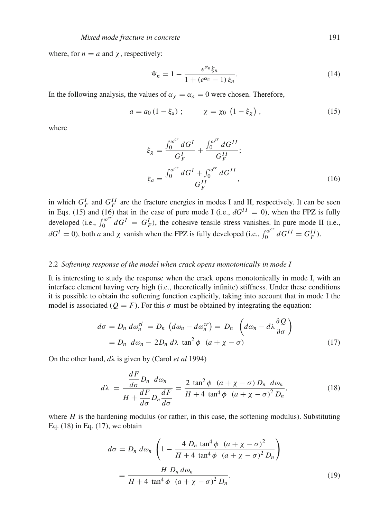where, for  $n = a$  and  $\chi$ , respectively:

$$
\Psi_n = 1 - \frac{e^{\alpha_n} \xi_n}{1 + (e^{\alpha_n} - 1) \xi_n}.
$$
\n(14)

In the following analysis, the values of  $\alpha_{\chi} = \alpha_a = 0$  were chosen. Therefore,

$$
a = a_0 (1 - \xi_a) ; \t\t \chi = \chi_0 (1 - \xi_\chi) , \t\t (15)
$$

where

$$
\xi_{\chi} = \frac{\int_0^{\omega^{cr}} dG^I}{G_F^I} + \frac{\int_0^{\omega^{cr}} dG^{II}}{G_F^{II}}; \n\xi_a = \frac{\int_0^{\omega^{cr}} dG^I + \int_0^{\omega^{cr}} dG^{II}}{G_F^{II}},
$$
\n(16)

in which  $G_F^I$  and  $G_F^{II}$  are the fracture energies in modes I and II, respectively. It can be seen in Eqs. (15) and (16) that in the case of pure mode I (i.e.,  $dG^{II} = 0$ ), when the FPZ is fully developed (i.e.,  $\int_0^{\omega^{cr}} dG^I = G_F^I$ ), the cohesive tensile stress vanishes. In pure mode II (i.e.,  $dG^I = 0$ , both *a* and  $\chi$  vanish when the FPZ is fully developed (i.e.,  $\int_0^{\omega^{cr}} dG^{II} = G_F^{II}$ ).

## 2.2 *Softening response of the model when crack opens monotonically in mode I*

It is interesting to study the response when the crack opens monotonically in mode I, with an interface element having very high (i.e., theoretically infinite) stiffness. Under these conditions it is possible to obtain the softening function explicitly, taking into account that in mode I the model is associated ( $Q = F$ ). For this  $\sigma$  must be obtained by integrating the equation:

$$
d\sigma = D_n \ d\omega_n^{el} = D_n \ (d\omega_n - d\omega_n^{cr}) = D_n \left( d\omega_n - d\lambda \frac{\partial Q}{\partial \sigma} \right)
$$
  
=  $D_n \ d\omega_n - 2D_n \ d\lambda \ \tan^2 \phi \ (a + \chi - \sigma)$  (17)

On the other hand, *d*λ is given by (Carol *et al* 1994)

$$
d\lambda = \frac{\frac{dF}{d\sigma}D_n \ d\omega_n}{H + \frac{dF}{d\sigma}D_n\frac{dF}{d\sigma}} = \frac{2 \tan^2\phi \ (a + \chi - \sigma) D_n \ d\omega_n}{H + 4 \tan^4\phi \ (a + \chi - \sigma)^2 D_n},\tag{18}
$$

where  $H$  is the hardening modulus (or rather, in this case, the softening modulus). Substituting Eq. (18) in Eq. (17), we obtain

$$
d\sigma = D_n \, d\omega_n \left( 1 - \frac{4 \, D_n \tan^4 \phi \, (a + \chi - \sigma)^2}{H + 4 \tan^4 \phi \, (a + \chi - \sigma)^2 \, D_n} \right)
$$
\n
$$
= \frac{H \, D_n \, d\omega_n}{H + 4 \tan^4 \phi \, (a + \chi - \sigma)^2 \, D_n}.
$$
\n(19)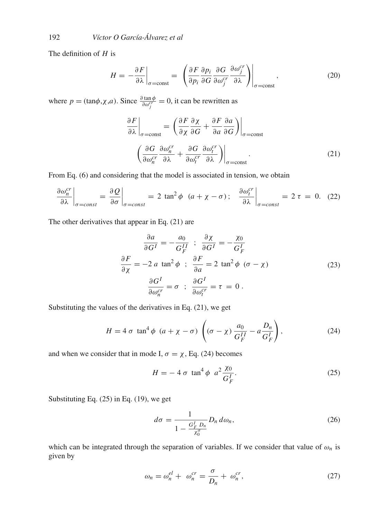The definition of *H* is

$$
H = -\frac{\partial F}{\partial \lambda}\Big|_{\sigma = \text{const}} = \left. \left( \frac{\partial F}{\partial p_i} \frac{\partial p_i}{\partial G} \frac{\partial G}{\partial \omega_j^{cr}} \frac{\partial \omega_j^{cr}}{\partial \lambda} \right) \right|_{\sigma = \text{const}}, \tag{20}
$$

where  $p = (\tan \phi, \chi, a)$ . Since  $\frac{\partial \tan \phi}{\partial \omega_j^{cr}} = 0$ , it can be rewritten as

$$
\frac{\partial F}{\partial \lambda}\Big|_{\sigma=\text{const}} = \left(\frac{\partial F}{\partial \chi}\frac{\partial \chi}{\partial G} + \frac{\partial F}{\partial a}\frac{\partial a}{\partial G}\right)\Big|_{\sigma=\text{const}}
$$

$$
\left(\frac{\partial G}{\partial \omega_n^{cr}}\frac{\partial \omega_n^{cr}}{\partial \lambda} + \frac{\partial G}{\partial \omega_t^{cr}}\frac{\partial \omega_t^{cr}}{\partial \lambda}\right)\Big|_{\sigma=\text{const}}.
$$
(21)

From Eq. (6) and considering that the model is associated in tension, we obtain

$$
\left. \frac{\partial \omega_n^{cr}}{\partial \lambda} \right|_{\sigma = const} = \left. \frac{\partial Q}{\partial \sigma} \right|_{\sigma = const} = 2 \tan^2 \phi \left( a + \chi - \sigma \right); \quad \left. \frac{\partial \omega_l^{cr}}{\partial \lambda} \right|_{\sigma = const} = 2 \tau = 0. \quad (22)
$$

The other derivatives that appear in Eq. (21) are

$$
\frac{\partial a}{\partial G^I} = -\frac{a_0}{G_F^{II}} \; ; \; \frac{\partial \chi}{\partial G^I} = -\frac{\chi_0}{G_F^I}
$$
\n
$$
\frac{\partial F}{\partial \chi} = -2 a \tan^2 \phi \; ; \; \frac{\partial F}{\partial a} = 2 \tan^2 \phi \; (\sigma - \chi)
$$
\n
$$
\frac{\partial G^I}{\partial \omega_n^{cr}} = \sigma \; ; \; \frac{\partial G^I}{\partial \omega_r^{cr}} = \tau = 0 \; .
$$
\n(23)

Substituting the values of the derivatives in Eq. (21), we get

$$
H = 4 \sigma \tan^4 \phi \ (a + \chi - \sigma) \left( (\sigma - \chi) \frac{a_0}{G_F^{II}} - a \frac{D_n}{G_F^I} \right),\tag{24}
$$

and when we consider that in mode I,  $\sigma = \chi$ , Eq. (24) becomes

$$
H = -4 \sigma \tan^4 \phi \ a^2 \frac{\chi_0}{G_F^I}.
$$
 (25)

Substituting Eq. (25) in Eq. (19), we get

$$
d\sigma = \frac{1}{1 - \frac{G_F^I D_n}{\chi_0^{\sigma}}} D_n d\omega_n, \qquad (26)
$$

which can be integrated through the separation of variables. If we consider that value of  $\omega_n$  is given by

$$
\omega_n = \omega_n^{el} + \omega_n^{cr} = \frac{\sigma}{D_n} + \omega_n^{cr},\qquad(27)
$$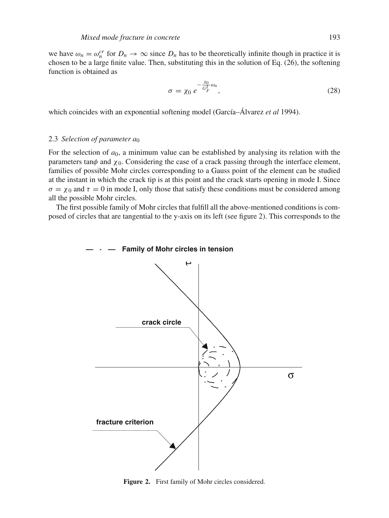we have  $\omega_n = \omega_n^{cr}$  for  $D_n \to \infty$  since  $D_n$  has to be theoretically infinite though in practice it is chosen to be a large finite value. Then, substituting this in the solution of Eq. (26), the softening function is obtained as

$$
\sigma = \chi_0 e^{-\frac{\chi_0}{G_F} \omega_n},\tag{28}
$$

which coincides with an exponential softening model (García–Álvarez *et al* 1994).

## 2.3 *Selection of parameter a*<sup>0</sup>

For the selection of *a*0, a minimum value can be established by analysing its relation with the parameters tan $\phi$  and  $\chi_0$ . Considering the case of a crack passing through the interface element, families of possible Mohr circles corresponding to a Gauss point of the element can be studied at the instant in which the crack tip is at this point and the crack starts opening in mode I. Since  $\sigma = \chi_0$  and  $\tau = 0$  in mode I, only those that satisfy these conditions must be considered among all the possible Mohr circles.

The first possible family of Mohr circles that fulfill all the above-mentioned conditions is composed of circles that are tangential to the y-axis on its left (see figure 2). This corresponds to the



**Figure 2.** First family of Mohr circles considered.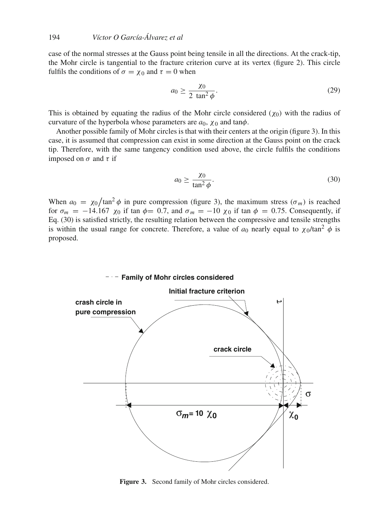case of the normal stresses at the Gauss point being tensile in all the directions. At the crack-tip, the Mohr circle is tangential to the fracture criterion curve at its vertex (figure 2). This circle fulfils the conditions of  $\sigma = \chi_0$  and  $\tau = 0$  when

$$
a_0 \ge \frac{\chi_0}{2 \tan^2 \phi}.\tag{29}
$$

This is obtained by equating the radius of the Mohr circle considered ( $\chi_0$ ) with the radius of curvature of the hyperbola whose parameters are  $a_0$ ,  $\chi_0$  and tan $\phi$ .

Another possible family of Mohr circles is that with their centers at the origin (figure 3). In this case, it is assumed that compression can exist in some direction at the Gauss point on the crack tip. Therefore, with the same tangency condition used above, the circle fulfils the conditions imposed on  $\sigma$  and  $\tau$  if

$$
a_0 \ge \frac{\chi_0}{\tan^2 \phi}.\tag{30}
$$

When  $a_0 = \chi_0 / \tan^2 \phi$  in pure compression (figure 3), the maximum stress ( $\sigma_m$ ) is reached for  $\sigma_m = -14.167$   $\chi_0$  if tan  $\phi = 0.7$ , and  $\sigma_m = -10$   $\chi_0$  if tan  $\phi = 0.75$ . Consequently, if Eq. (30) is satisfied strictly, the resulting relation between the compressive and tensile strengths is within the usual range for concrete. Therefore, a value of  $a_0$  nearly equal to  $\chi_0$ /tan<sup>2</sup>  $\phi$  is proposed.



**Figure 3.** Second family of Mohr circles considered.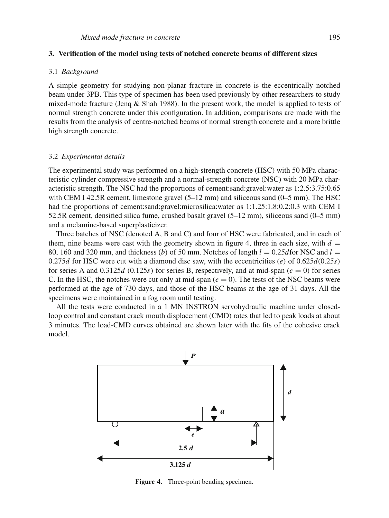# **3. Verification of the model using tests of notched concrete beams of different sizes**

#### 3.1 *Background*

A simple geometry for studying non-planar fracture in concrete is the eccentrically notched beam under 3PB. This type of specimen has been used previously by other researchers to study mixed-mode fracture (Jenq & Shah 1988). In the present work, the model is applied to tests of normal strength concrete under this configuration. In addition, comparisons are made with the results from the analysis of centre-notched beams of normal strength concrete and a more brittle high strength concrete.

#### 3.2 *Experimental details*

The experimental study was performed on a high-strength concrete (HSC) with 50 MPa characteristic cylinder compressive strength and a normal-strength concrete (NSC) with 20 MPa characteristic strength. The NSC had the proportions of cement:sand:gravel:water as 1:2.5:3.75:0.65 with CEM I 42.5R cement, limestone gravel  $(5-12 \text{ mm})$  and siliceous sand  $(0-5 \text{ mm})$ . The HSC had the proportions of cement:sand:gravel:microsilica:water as 1:1.25:1.8:0.2:0.3 with CEM I 52.5R cement, densified silica fume, crushed basalt gravel (5–12 mm), siliceous sand (0–5 mm) and a melamine-based superplasticizer.

Three batches of NSC (denoted A, B and C) and four of HSC were fabricated, and in each of them, nine beams were cast with the geometry shown in figure 4, three in each size, with  $d =$ 80, 160 and 320 mm, and thickness (*b*) of 50 mm. Notches of length  $l = 0.25d$  for NSC and  $l =$ 0.275*d* for HSC were cut with a diamond disc saw, with the eccentricities (*e*) of 0.625*d*(0.25*s*) for series A and  $0.3125d$  ( $0.125s$ ) for series B, respectively, and at mid-span ( $e = 0$ ) for series C. In the HSC, the notches were cut only at mid-span  $(e = 0)$ . The tests of the NSC beams were performed at the age of 730 days, and those of the HSC beams at the age of 31 days. All the specimens were maintained in a fog room until testing.

All the tests were conducted in a 1 MN INSTRON servohydraulic machine under closedloop control and constant crack mouth displacement (CMD) rates that led to peak loads at about 3 minutes. The load-CMD curves obtained are shown later with the fits of the cohesive crack model.



**Figure 4.** Three-point bending specimen.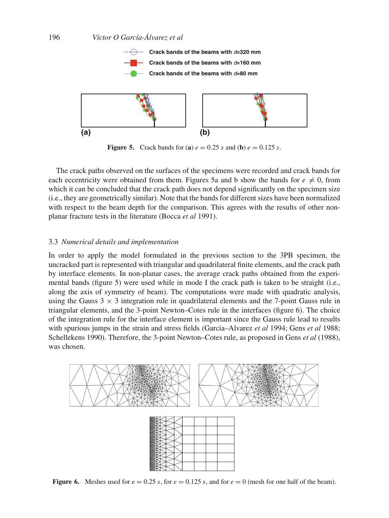

**Figure 5.** Crack bands for (**a**)  $e = 0.25$  *s* and (**b**)  $e = 0.125$  *s*.

The crack paths observed on the surfaces of the specimens were recorded and crack bands for each eccentricity were obtained from them. Figures 5a and b show the bands for  $e \neq 0$ , from which it can be concluded that the crack path does not depend significantly on the specimen size (i.e., they are geometrically similar). Note that the bands for different sizes have been normalized with respect to the beam depth for the comparison. This agrees with the results of other nonplanar fracture tests in the literature (Bocca *et al* 1991).

## 3.3 *Numerical details and implementation*

In order to apply the model formulated in the previous section to the 3PB specimen, the uncracked part is represented with triangular and quadrilateral finite elements, and the crack path by interface elements. In non-planar cases, the average crack paths obtained from the experimental bands (figure 5) were used while in mode I the crack path is taken to be straight (i.e., along the axis of symmetry of beam). The computations were made with quadratic analysis, using the Gauss  $3 \times 3$  integration rule in quadrilateral elements and the 7-point Gauss rule in triangular elements, and the 3-point Newton–Cotes rule in the interfaces (figure 6). The choice of the integration rule for the interface element is important since the Gauss rule lead to results with spurious jumps in the strain and stress fields (Garcia–Alvarez *et al* 1994; Gens *et al* 1988; Schellekens 1990). Therefore, the 3-point Newton–Cotes rule, as proposed in Gens *et al* (1988), was chosen.



**Figure 6.** Meshes used for  $e = 0.25$  *s*, for  $e = 0.125$  *s*, and for  $e = 0$  (mesh for one half of the beam).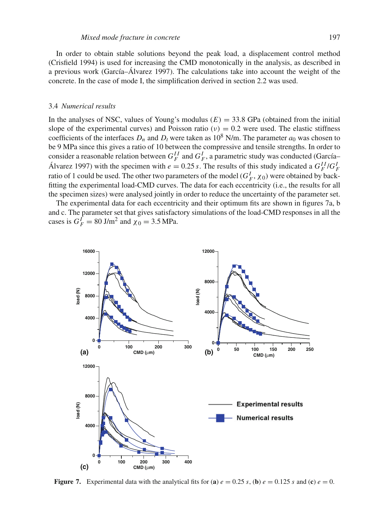In order to obtain stable solutions beyond the peak load, a displacement control method (Crisfield 1994) is used for increasing the CMD monotonically in the analysis, as described in a previous work (García–Álvarez 1997). The calculations take into account the weight of the concrete. In the case of mode I, the simplification derived in section 2.2 was used.

## 3.4 *Numerical results*

In the analyses of NSC, values of Young's modulus  $(E) = 33.8$  GPa (obtained from the initial slope of the experimental curves) and Poisson ratio  $(v) = 0.2$  were used. The elastic stiffness coefficients of the interfaces  $D_n$  and  $D_t$  were taken as 10<sup>8</sup> N/m. The parameter  $a_0$  was chosen to be 9 MPa since this gives a ratio of 10 between the compressive and tensile strengths. In order to consider a reasonable relation between  $G_F^{II}$  and  $G_F^I$ , a parametric study was conducted (García– Álvarez 1997) with the specimen with  $e = 0.25 s$ . The results of this study indicated a  $G_F^{II}/G_F^I$ ratio of 1 could be used. The other two parameters of the model  $(G_F^I, \chi_0)$  were obtained by backfitting the experimental load-CMD curves. The data for each eccentricity (i.e., the results for all the specimen sizes) were analysed jointly in order to reduce the uncertainty of the parameter set.

The experimental data for each eccentricity and their optimum fits are shown in figures 7a, b and c. The parameter set that gives satisfactory simulations of the load-CMD responses in all the cases is  $G_F^I = 80 \text{ J/m}^2$  and  $\chi_0 = 3.5 \text{ MPa}$ .



**Figure 7.** Experimental data with the analytical fits for (a)  $e = 0.25$  *s*, (b)  $e = 0.125$  *s* and (c)  $e = 0$ .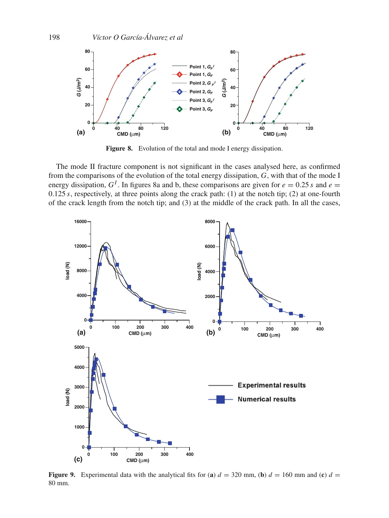

**Figure 8.** Evolution of the total and mode I energy dissipation.

The mode II fracture component is not significant in the cases analysed here, as confirmed from the comparisons of the evolution of the total energy dissipation, *G*, with that of the mode I energy dissipation,  $G<sup>I</sup>$ . In figures 8a and b, these comparisons are given for  $e = 0.25 s$  and  $e =$ 0.125  $s$ , respectively, at three points along the crack path: (1) at the notch tip; (2) at one-fourth of the crack length from the notch tip; and (3) at the middle of the crack path. In all the cases,



**Figure 9.** Experimental data with the analytical fits for (a)  $d = 320$  mm, (b)  $d = 160$  mm and (c)  $d =$ 80 mm.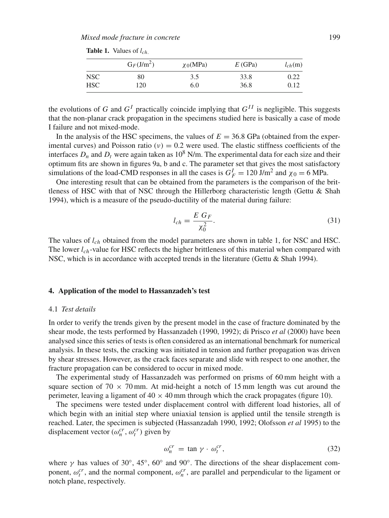|            | $G_F(J/m^2)$ | $\chi_0(MPa)$ | E(GPa) | $l_{ch}(m)$ |
|------------|--------------|---------------|--------|-------------|
| NSC        | 80           | 3.5           | 33.8   | 0.22        |
| <b>HSC</b> | 120          | 6.0           | 36.8   | 0.12        |

**Table 1.** Values of *lch*.

the evolutions of *G* and  $G<sup>I</sup>$  practically coincide implying that  $G<sup>II</sup>$  is negligible. This suggests that the non-planar crack propagation in the specimens studied here is basically a case of mode I failure and not mixed-mode.

In the analysis of the HSC specimens, the values of  $E = 36.8$  GPa (obtained from the experimental curves) and Poisson ratio ( $v$ ) = 0.2 were used. The elastic stiffness coefficients of the interfaces  $D_n$  and  $D_t$  were again taken as  $10^8$  N/m. The experimental data for each size and their optimum fits are shown in figures 9a, b and c. The parameter set that gives the most satisfactory simulations of the load-CMD responses in all the cases is  $G_F^I = 120 \text{ J/m}^2$  and  $\chi_0 = 6 \text{ MPa}$ .

One interesting result that can be obtained from the parameters is the comparison of the brittleness of HSC with that of NSC through the Hillerborg characteristic length (Gettu & Shah 1994), which is a measure of the pseudo-ductility of the material during failure:

$$
l_{ch} = \frac{E G_F}{\chi_0^2}.
$$
\n(31)

The values of *lch* obtained from the model parameters are shown in table 1, for NSC and HSC. The lower *lch*-value for HSC reflects the higher brittleness of this material when compared with NSC, which is in accordance with accepted trends in the literature (Gettu & Shah 1994).

## **4. Application of the model to Hassanzadeh's test**

#### 4.1 *Test details*

In order to verify the trends given by the present model in the case of fracture dominated by the shear mode, the tests performed by Hassanzadeh (1990, 1992); di Prisco *et al* (2000) have been analysed since this series of tests is often considered as an international benchmark for numerical analysis. In these tests, the cracking was initiated in tension and further propagation was driven by shear stresses. However, as the crack faces separate and slide with respect to one another, the fracture propagation can be considered to occur in mixed mode.

The experimental study of Hassanzadeh was performed on prisms of 60 mm height with a square section of 70  $\times$  70 mm. At mid-height a notch of 15 mm length was cut around the perimeter, leaving a ligament of  $40 \times 40$  mm through which the crack propagates (figure 10).

The specimens were tested under displacement control with different load histories, all of which begin with an initial step where uniaxial tension is applied until the tensile strength is reached. Later, the specimen is subjected (Hassanzadah 1990, 1992; Olofsson *et al* 1995) to the displacement vector  $(\omega_n^{cr}, \omega_t^{cr})$  given by

$$
\omega_n^{cr} = \tan \gamma \cdot \omega_t^{cr},\tag{32}
$$

where  $\gamma$  has values of 30°, 45°, 60° and 90°. The directions of the shear displacement component,  $\omega_i^{cr}$ , and the normal component,  $\omega_n^{cr}$ , are parallel and perpendicular to the ligament or notch plane, respectively.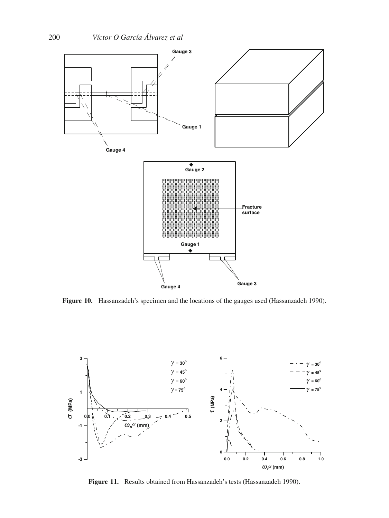

**Figure 10.** Hassanzadeh's specimen and the locations of the gauges used (Hassanzadeh 1990).



**Figure 11.** Results obtained from Hassanzadeh's tests (Hassanzadeh 1990).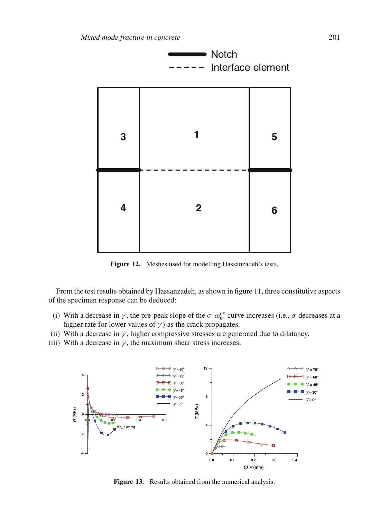

**Figure 12.** Meshes used for modelling Hassanzadeh's tests.

From the test results obtained by Hassanzadeh, as shown in figure 11, three constitutive aspects of the specimen response can be deduced:

- (i) With a decrease in  $\gamma$ , the pre-peak slope of the  $\sigma \text{-} \omega_n^{cr}$  curve increases (i.e.,  $\sigma$  decreases at a higher rate for lower values of  $\gamma$ ) as the crack propagates.
- (ii) With a decrease in  $\gamma$ , higher compressive stresses are generated due to dilatancy.
- (iii) With a decrease in  $\gamma$ , the maximum shear stress increases.



**Figure 13.** Results obtained from the numerical analysis.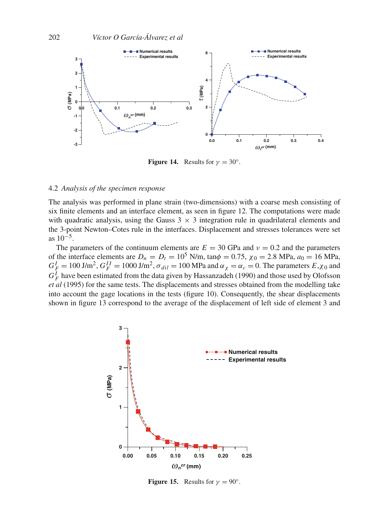

**Figure 14.** Results for  $\gamma = 30^\circ$ .

## 4.2 *Analysis of the specimen response*

The analysis was performed in plane strain (two-dimensions) with a coarse mesh consisting of six finite elements and an interface element, as seen in figure 12. The computations were made with quadratic analysis, using the Gauss  $3 \times 3$  integration rule in quadrilateral elements and the 3-point Newton–Cotes rule in the interfaces. Displacement and stresses tolerances were set as  $10^{-5}$ .

The parameters of the continuum elements are  $E = 30$  GPa and  $v = 0.2$  and the parameters of the interface elements are  $D_n = D_t = 10^5$  N/m, tan $\phi = 0.75$ ,  $\chi_0 = 2.8$  MPa,  $a_0 = 16$  MPa,  $G_F^I = 100 \text{ J/m}^2$ ,  $G_F^{II} = 1000 \text{ J/m}^2$ ,  $\sigma_{dil} = 100 \text{ MPa}$  and  $\alpha_{\chi} = \alpha_c = 0$ . The parameters  $E_{\chi \chi_0}$  and  $G_F^I$  have been estimated from the data given by Hassanzadeh (1990) and those used by Olofsson *et al* (1995) for the same tests. The displacements and stresses obtained from the modelling take into account the gage locations in the tests (figure 10). Consequently, the shear displacements shown in figure 13 correspond to the average of the displacement of left side of element 3 and



**Figure 15.** Results for  $\gamma = 90^\circ$ .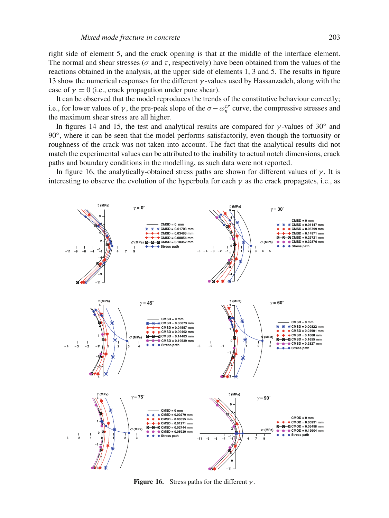right side of element 5, and the crack opening is that at the middle of the interface element. The normal and shear stresses ( $\sigma$  and  $\tau$ , respectively) have been obtained from the values of the reactions obtained in the analysis, at the upper side of elements 1, 3 and 5. The results in figure 13 show the numerical responses for the different  $\gamma$ -values used by Hassanzadeh, along with the case of  $\gamma = 0$  (i.e., crack propagation under pure shear).

It can be observed that the model reproduces the trends of the constitutive behaviour correctly; i.e., for lower values of  $\gamma$ , the pre-peak slope of the  $\sigma - \omega_n^{cr}$  curve, the compressive stresses and the maximum shear stress are all higher.

In figures 14 and 15, the test and analytical results are compared for  $\gamma$ -values of 30° and 90◦, where it can be seen that the model performs satisfactorily, even though the tortuosity or roughness of the crack was not taken into account. The fact that the analytical results did not match the experimental values can be attributed to the inability to actual notch dimensions, crack paths and boundary conditions in the modelling, as such data were not reported.

In figure 16, the analytically-obtained stress paths are shown for different values of  $\gamma$ . It is interesting to observe the evolution of the hyperbola for each  $\gamma$  as the crack propagates, i.e., as



**Figure 16.** Stress paths for the different  $\gamma$ .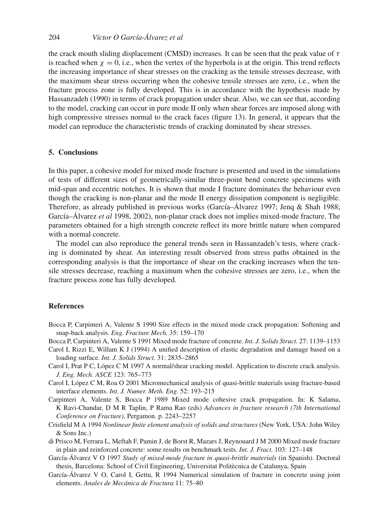the crack mouth sliding displacement (CMSD) increases. It can be seen that the peak value of  $\tau$ is reached when  $\chi = 0$ , i.e., when the vertex of the hyperbola is at the origin. This trend reflects the increasing importance of shear stresses on the cracking as the tensile stresses decrease, with the maximum shear stress occurring when the cohesive tensile stresses are zero, i.e., when the fracture process zone is fully developed. This is in accordance with the hypothesis made by Hassanzadeh (1990) in terms of crack propagation under shear. Also, we can see that, according to the model, cracking can occur in pure mode II only when shear forces are imposed along with high compressive stresses normal to the crack faces (figure 13). In general, it appears that the model can reproduce the characteristic trends of cracking dominated by shear stresses.

# **5. Conclusions**

In this paper, a cohesive model for mixed mode fracture is presented and used in the simulations of tests of different sizes of geometrically-similar three-point bend concrete specimens with mid-span and eccentric notches. It is shown that mode I fracture dominates the behaviour even though the cracking is non-planar and the mode II energy dissipation component is negligible. Therefore, as already published in previous works (García–Álvarez 1997; Jenq & Shah 1988; García–Álvarez *et al* 1998, 2002), non-planar crack does not implies mixed-mode fracture. The parameters obtained for a high strength concrete reflect its more brittle nature when compared with a normal concrete.

The model can also reproduce the general trends seen in Hassanzadeh's tests, where cracking is dominated by shear. An interesting result observed from stress paths obtained in the corresponding analysis is that the importance of shear on the cracking increases when the tensile stresses decrease, reaching a maximum when the cohesive stresses are zero, i.e., when the fracture process zone has fully developed.

# **References**

- Bocca P, Carpinteri A, Valente S 1990 Size effects in the mixed mode crack propagation: Softening and snap-back analysis. *Eng. Fracture Mech.* 35: 159–170
- Bocca P, Carpinteri A, Valente S 1991 Mixed mode fracture of concrete. *Int. J. Solids Struct.* 27: 1139–1153
- Carol I, Rizzi E, Willam K J (1994) A unified description of elastic degradation and damage based on a loading surface. *Int. J. Solids Struct.* 31: 2835–2865
- Carol I, Prat P C, López C M 1997 A normal/shear cracking model. Application to discrete crack analysis. *J. Eng. Mech. ASCE* 123: 765–773
- Carol I, López C M, Roa O 2001 Micromechanical analysis of quasi-brittle materials using fracture-based interface elements. *Int. J. Numer. Meth. Eng.* 52: 193–215
- Carpinteri A, Valente S, Bocca P 1989 Mixed mode cohesive crack propagation. In: K Salama, K Ravi-Chandar, D M R Taplin, P Rama Rao (eds) *Advances in fracture research (7th International Conference on Fracture)*, Pergamon. p. 2243–2257
- Crisfield M A 1994 *Nonlinear finite element analysis of solids and structures* (New York, USA: John Wiley & Sons Inc.)
- di Prisco M, Ferrara L, Meftah F, Pamin J, de Borst R, Mazars J, Reynouard J M 2000 Mixed mode fracture in plain and reinforced concrete: some results on benchmark tests. *Int. J. Fract.* 103: 127–148
- García-Álvarez V O 1997 *Study of mixed-mode fracture in quasi-brittle materials* (in Spanish). Doctoral thesis, Barcelona: School of Civil Engineering, Universitat Politècnica de Catalunya, Spain
- García-Álvarez V O, Carol I, Gettu, R 1994 Numerical simulation of fracture in concrete using joint elements. *Anales de Mecánica de Fractura* 11: 75–80